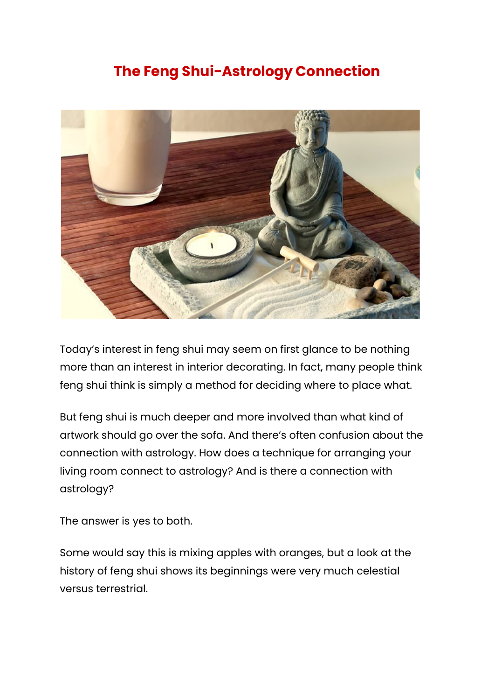## **The Feng Shui-Astrology Connection**



Today's interest in feng shui may seem on first glance to be nothing more than an interest in interior decorating. In fact, many people think feng shui think is simply a method for deciding where to place what.

But feng shui is much deeper and more involved than what kind of artwork should go over the sofa. And there's often confusion about the connection with astrology. How does a technique for arranging your living room connect to astrology? And is there a connection with astrology?

The answer is yes to both.

Some would say this is mixing apples with oranges, but a look at the history of feng shui shows its beginnings were very much celestial versus terrestrial.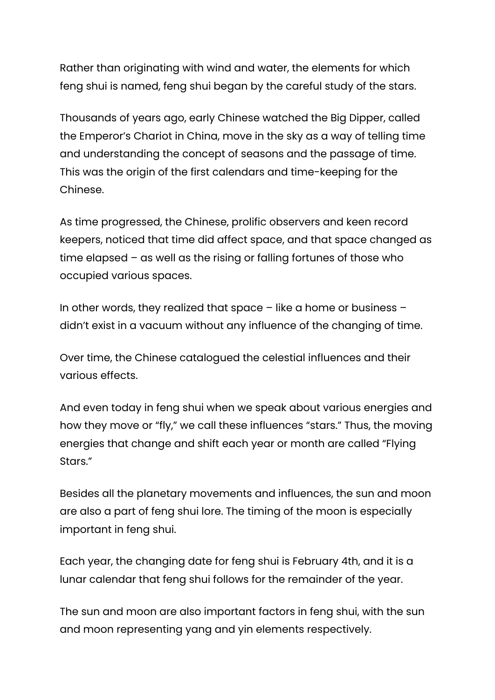Rather than originating with wind and water, the elements for which feng shui is named, feng shui began by the careful study of the stars.

Thousands of years ago, early Chinese watched the Big Dipper, called the Emperor's Chariot in China, move in the sky as a way of telling time and understanding the concept of seasons and the passage of time. This was the origin of the first calendars and time-keeping for the Chinese.

As time progressed, the Chinese, prolific observers and keen record keepers, noticed that time did affect space, and that space changed as time elapsed – as well as the rising or falling fortunes of those who occupied various spaces.

In other words, they realized that space  $-$  like a home or business  $$ didn't exist in a vacuum without any influence of the changing of time.

Over time, the Chinese catalogued the celestial influences and their various effects.

And even today in feng shui when we speak about various energies and how they move or "fly," we call these influences "stars." Thus, the moving energies that change and shift each year or month are called "Flying Stars."

Besides all the planetary movements and influences, the sun and moon are also a part of feng shui lore. The timing of the moon is especially important in feng shui.

Each year, the changing date for feng shui is February 4th, and it is a lunar calendar that feng shui follows for the remainder of the year.

The sun and moon are also important factors in feng shui, with the sun and moon representing yang and yin elements respectively.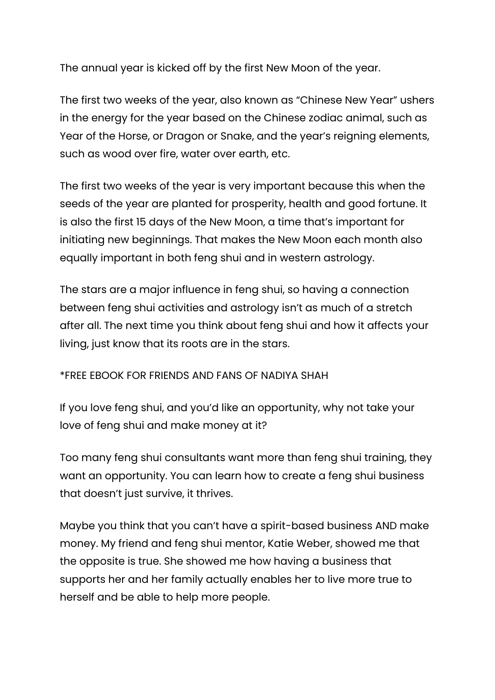The annual year is kicked off by the first New Moon of the year.

The first two weeks of the year, also known as "Chinese New Year" ushers in the energy for the year based on the Chinese zodiac animal, such as Year of the Horse, or Dragon or Snake, and the year's reigning elements, such as wood over fire, water over earth, etc.

The first two weeks of the year is very important because this when the seeds of the year are planted for prosperity, health and good fortune. It is also the first 15 days of the New Moon, a time that's important for initiating new beginnings. That makes the New Moon each month also equally important in both feng shui and in western astrology.

The stars are a major influence in feng shui, so having a connection between feng shui activities and astrology isn't as much of a stretch after all. The next time you think about feng shui and how it affects your living, just know that its roots are in the stars.

## \*FREE EBOOK FOR FRIENDS AND FANS OF NADIYA SHAH

If you love feng shui, and you'd like an opportunity, why not take your love of feng shui and make money at it?

Too many feng shui consultants want more than feng shui training, they want an opportunity. You can learn how to create a feng shui business that doesn't just survive, it thrives.

Maybe you think that you can't have a spirit-based business AND make money. My friend and feng shui mentor, Katie Weber, showed me that the opposite is true. She showed me how having a business that supports her and her family actually enables her to live more true to herself and be able to help more people.